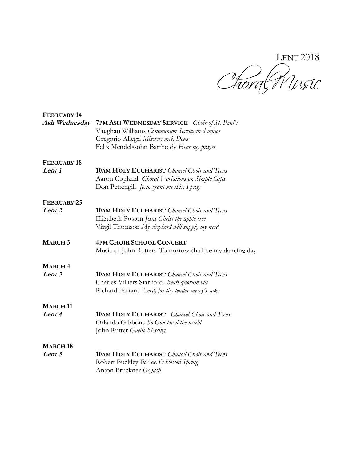LENT 2018

| <b>FEBRUARY 14</b>        |                                                        |
|---------------------------|--------------------------------------------------------|
| Ash Wednesday             | <b>7PM ASH WEDNESDAY SERVICE</b> Choir of St. Paul's   |
|                           | Vaughan Williams Communion Service in d minor          |
|                           | Gregorio Allegri Miserere mei, Deus                    |
|                           | Felix Mendelssohn Bartholdy Hear my prayer             |
| FEBRUARY 18               |                                                        |
| Lent 1                    | <b>10AM HOLY EUCHARIST</b> Chancel Choir and Teens     |
|                           | Aaron Copland Choral Variations on Simple Gifts        |
|                           | Don Pettengill Jesu, grant me this, I pray             |
| FEBRUARY 25               |                                                        |
| Lent 2                    | <b>10AM HOLY EUCHARIST</b> Chancel Choir and Teens     |
|                           | Elizabeth Poston Jesus Christ the apple tree           |
|                           | Virgil Thomson My shepherd will supply my need         |
| <b>MARCH 3</b>            | <b>4PM CHOIR SCHOOL CONCERT</b>                        |
|                           | Music of John Rutter: Tomorrow shall be my dancing day |
| <b>MARCH4</b>             |                                                        |
| Lent 3                    | <b>10AM HOLY EUCHARIST</b> Chancel Choir and Teens     |
|                           | Charles Villiers Stanford Beati quorum via             |
|                           | Richard Farrant Lord, for thy tender mercy's sake      |
| <b>MARCH11</b>            |                                                        |
| Lent 4                    | <b>10AM HOLY EUCHARIST</b> Chancel Choir and Teens     |
|                           | Orlando Gibbons So God loved the world                 |
|                           | John Rutter Gaelic Blessing                            |
| <b>MARCH<sub>18</sub></b> |                                                        |
| Lent 5                    | <b>10AM HOLY EUCHARIST</b> Chancel Choir and Teens     |
|                           | Robert Buckley Farlee O blessed Spring                 |
|                           | Anton Bruckner Os justi                                |
|                           |                                                        |